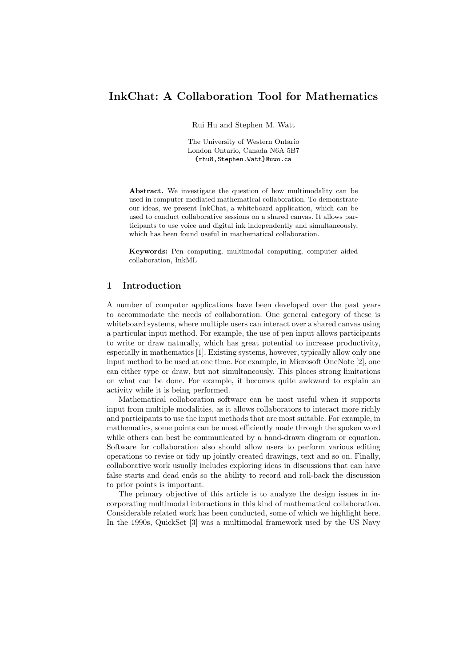# InkChat: A Collaboration Tool for Mathematics

Rui Hu and Stephen M. Watt

The University of Western Ontario London Ontario, Canada N6A 5B7 {rhu8,Stephen.Watt}@uwo.ca

Abstract. We investigate the question of how multimodality can be used in computer-mediated mathematical collaboration. To demonstrate our ideas, we present InkChat, a whiteboard application, which can be used to conduct collaborative sessions on a shared canvas. It allows participants to use voice and digital ink independently and simultaneously, which has been found useful in mathematical collaboration.

Keywords: Pen computing, multimodal computing, computer aided collaboration, InkML

## 1 Introduction

A number of computer applications have been developed over the past years to accommodate the needs of collaboration. One general category of these is whiteboard systems, where multiple users can interact over a shared canvas using a particular input method. For example, the use of pen input allows participants to write or draw naturally, which has great potential to increase productivity, especially in mathematics [1]. Existing systems, however, typically allow only one input method to be used at one time. For example, in Microsoft OneNote [2], one can either type or draw, but not simultaneously. This places strong limitations on what can be done. For example, it becomes quite awkward to explain an activity while it is being performed.

Mathematical collaboration software can be most useful when it supports input from multiple modalities, as it allows collaborators to interact more richly and participants to use the input methods that are most suitable. For example, in mathematics, some points can be most efficiently made through the spoken word while others can best be communicated by a hand-drawn diagram or equation. Software for collaboration also should allow users to perform various editing operations to revise or tidy up jointly created drawings, text and so on. Finally, collaborative work usually includes exploring ideas in discussions that can have false starts and dead ends so the ability to record and roll-back the discussion to prior points is important.

The primary objective of this article is to analyze the design issues in incorporating multimodal interactions in this kind of mathematical collaboration. Considerable related work has been conducted, some of which we highlight here. In the 1990s, QuickSet [3] was a multimodal framework used by the US Navy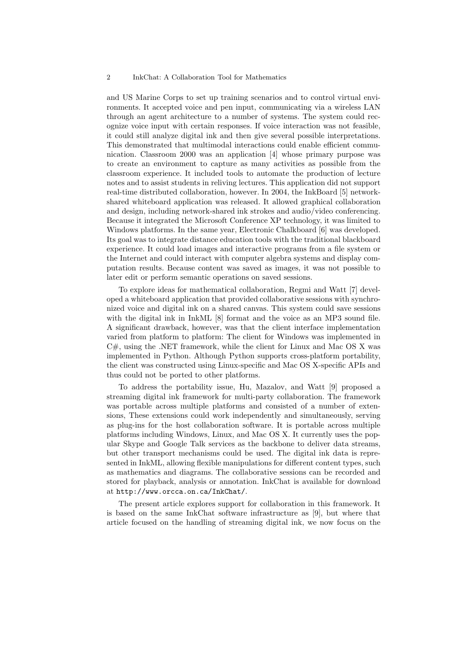and US Marine Corps to set up training scenarios and to control virtual environments. It accepted voice and pen input, communicating via a wireless LAN through an agent architecture to a number of systems. The system could recognize voice input with certain responses. If voice interaction was not feasible, it could still analyze digital ink and then give several possible interpretations. This demonstrated that multimodal interactions could enable efficient communication. Classroom 2000 was an application [4] whose primary purpose was to create an environment to capture as many activities as possible from the classroom experience. It included tools to automate the production of lecture notes and to assist students in reliving lectures. This application did not support real-time distributed collaboration, however. In 2004, the InkBoard [5] networkshared whiteboard application was released. It allowed graphical collaboration and design, including network-shared ink strokes and audio/video conferencing. Because it integrated the Microsoft Conference XP technology, it was limited to Windows platforms. In the same year, Electronic Chalkboard [6] was developed. Its goal was to integrate distance education tools with the traditional blackboard experience. It could load images and interactive programs from a file system or the Internet and could interact with computer algebra systems and display computation results. Because content was saved as images, it was not possible to later edit or perform semantic operations on saved sessions.

To explore ideas for mathematical collaboration, Regmi and Watt [7] developed a whiteboard application that provided collaborative sessions with synchronized voice and digital ink on a shared canvas. This system could save sessions with the digital ink in InkML [8] format and the voice as an MP3 sound file. A significant drawback, however, was that the client interface implementation varied from platform to platform: The client for Windows was implemented in  $C#$ , using the .NET framework, while the client for Linux and Mac OS X was implemented in Python. Although Python supports cross-platform portability, the client was constructed using Linux-specific and Mac OS X-specific APIs and thus could not be ported to other platforms.

To address the portability issue, Hu, Mazalov, and Watt [9] proposed a streaming digital ink framework for multi-party collaboration. The framework was portable across multiple platforms and consisted of a number of extensions, These extensions could work independently and simultaneously, serving as plug-ins for the host collaboration software. It is portable across multiple platforms including Windows, Linux, and Mac OS X. It currently uses the popular Skype and Google Talk services as the backbone to deliver data streams, but other transport mechanisms could be used. The digital ink data is represented in InkML, allowing flexible manipulations for different content types, such as mathematics and diagrams. The collaborative sessions can be recorded and stored for playback, analysis or annotation. InkChat is available for download at http://www.orcca.on.ca/InkChat/.

The present article explores support for collaboration in this framework. It is based on the same InkChat software infrastructure as [9], but where that article focused on the handling of streaming digital ink, we now focus on the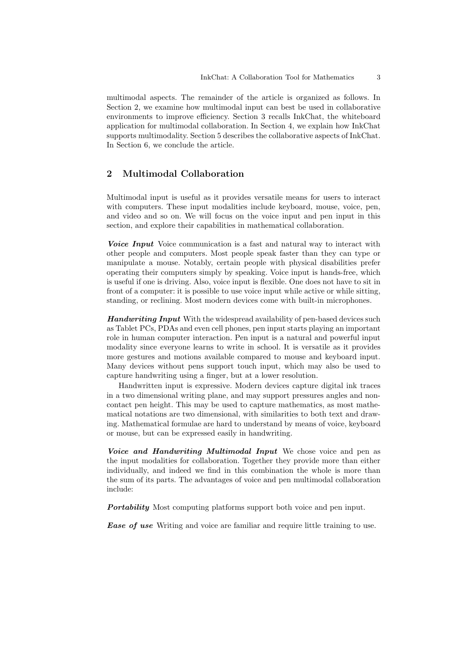multimodal aspects. The remainder of the article is organized as follows. In Section 2, we examine how multimodal input can best be used in collaborative environments to improve efficiency. Section 3 recalls InkChat, the whiteboard application for multimodal collaboration. In Section 4, we explain how InkChat supports multimodality. Section 5 describes the collaborative aspects of InkChat. In Section 6, we conclude the article.

## 2 Multimodal Collaboration

Multimodal input is useful as it provides versatile means for users to interact with computers. These input modalities include keyboard, mouse, voice, pen, and video and so on. We will focus on the voice input and pen input in this section, and explore their capabilities in mathematical collaboration.

Voice Input Voice communication is a fast and natural way to interact with other people and computers. Most people speak faster than they can type or manipulate a mouse. Notably, certain people with physical disabilities prefer operating their computers simply by speaking. Voice input is hands-free, which is useful if one is driving. Also, voice input is flexible. One does not have to sit in front of a computer: it is possible to use voice input while active or while sitting, standing, or reclining. Most modern devices come with built-in microphones.

**Handwriting Input** With the widespread availability of pen-based devices such as Tablet PCs, PDAs and even cell phones, pen input starts playing an important role in human computer interaction. Pen input is a natural and powerful input modality since everyone learns to write in school. It is versatile as it provides more gestures and motions available compared to mouse and keyboard input. Many devices without pens support touch input, which may also be used to capture handwriting using a finger, but at a lower resolution.

Handwritten input is expressive. Modern devices capture digital ink traces in a two dimensional writing plane, and may support pressures angles and noncontact pen height. This may be used to capture mathematics, as most mathematical notations are two dimensional, with similarities to both text and drawing. Mathematical formulae are hard to understand by means of voice, keyboard or mouse, but can be expressed easily in handwriting.

Voice and Handwriting Multimodal Input We chose voice and pen as the input modalities for collaboration. Together they provide more than either individually, and indeed we find in this combination the whole is more than the sum of its parts. The advantages of voice and pen multimodal collaboration include:

**Portability** Most computing platforms support both voice and pen input.

**Ease of use** Writing and voice are familiar and require little training to use.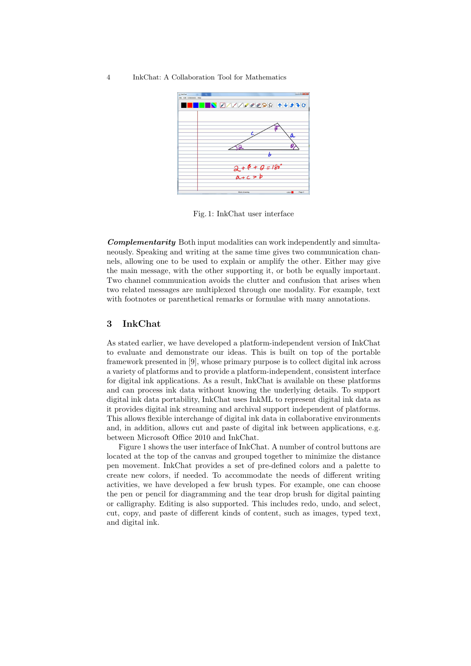#### 4 InkChat: A Collaboration Tool for Mathematics



Fig. 1: InkChat user interface

Complementarity Both input modalities can work independently and simultaneously. Speaking and writing at the same time gives two communication channels, allowing one to be used to explain or amplify the other. Either may give the main message, with the other supporting it, or both be equally important. Two channel communication avoids the clutter and confusion that arises when two related messages are multiplexed through one modality. For example, text with footnotes or parenthetical remarks or formulae with many annotations.

# 3 InkChat

As stated earlier, we have developed a platform-independent version of InkChat to evaluate and demonstrate our ideas. This is built on top of the portable framework presented in [9], whose primary purpose is to collect digital ink across a variety of platforms and to provide a platform-independent, consistent interface for digital ink applications. As a result, InkChat is available on these platforms and can process ink data without knowing the underlying details. To support digital ink data portability, InkChat uses InkML to represent digital ink data as it provides digital ink streaming and archival support independent of platforms. This allows flexible interchange of digital ink data in collaborative environments and, in addition, allows cut and paste of digital ink between applications, e.g. between Microsoft Office 2010 and InkChat.

Figure 1 shows the user interface of InkChat. A number of control buttons are located at the top of the canvas and grouped together to minimize the distance pen movement. InkChat provides a set of pre-defined colors and a palette to create new colors, if needed. To accommodate the needs of different writing activities, we have developed a few brush types. For example, one can choose the pen or pencil for diagramming and the tear drop brush for digital painting or calligraphy. Editing is also supported. This includes redo, undo, and select, cut, copy, and paste of different kinds of content, such as images, typed text, and digital ink.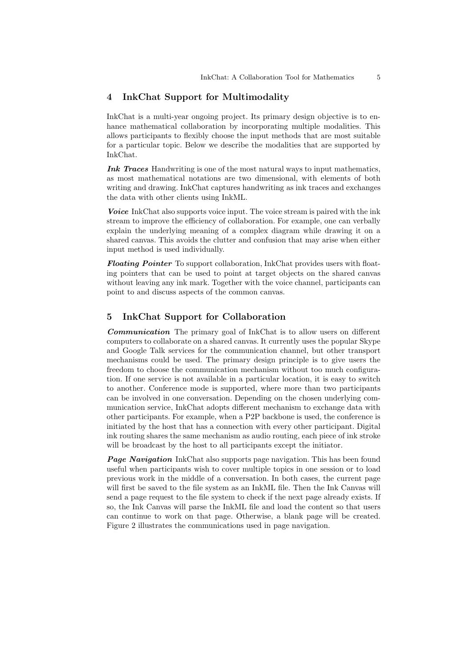### 4 InkChat Support for Multimodality

InkChat is a multi-year ongoing project. Its primary design objective is to enhance mathematical collaboration by incorporating multiple modalities. This allows participants to flexibly choose the input methods that are most suitable for a particular topic. Below we describe the modalities that are supported by InkChat.

Ink Traces Handwriting is one of the most natural ways to input mathematics, as most mathematical notations are two dimensional, with elements of both writing and drawing. InkChat captures handwriting as ink traces and exchanges the data with other clients using InkML.

Voice InkChat also supports voice input. The voice stream is paired with the ink stream to improve the efficiency of collaboration. For example, one can verbally explain the underlying meaning of a complex diagram while drawing it on a shared canvas. This avoids the clutter and confusion that may arise when either input method is used individually.

Floating Pointer To support collaboration, InkChat provides users with floating pointers that can be used to point at target objects on the shared canvas without leaving any ink mark. Together with the voice channel, participants can point to and discuss aspects of the common canvas.

### 5 InkChat Support for Collaboration

Communication The primary goal of InkChat is to allow users on different computers to collaborate on a shared canvas. It currently uses the popular Skype and Google Talk services for the communication channel, but other transport mechanisms could be used. The primary design principle is to give users the freedom to choose the communication mechanism without too much configuration. If one service is not available in a particular location, it is easy to switch to another. Conference mode is supported, where more than two participants can be involved in one conversation. Depending on the chosen underlying communication service, InkChat adopts different mechanism to exchange data with other participants. For example, when a P2P backbone is used, the conference is initiated by the host that has a connection with every other participant. Digital ink routing shares the same mechanism as audio routing, each piece of ink stroke will be broadcast by the host to all participants except the initiator.

**Page Navigation** InkChat also supports page navigation. This has been found useful when participants wish to cover multiple topics in one session or to load previous work in the middle of a conversation. In both cases, the current page will first be saved to the file system as an InkML file. Then the Ink Canvas will send a page request to the file system to check if the next page already exists. If so, the Ink Canvas will parse the InkML file and load the content so that users can continue to work on that page. Otherwise, a blank page will be created. Figure 2 illustrates the communications used in page navigation.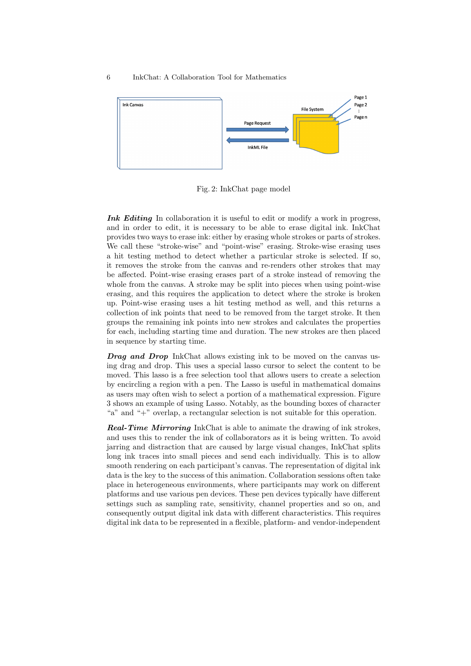#### 6 InkChat: A Collaboration Tool for Mathematics



Fig. 2: InkChat page model

Ink Editing In collaboration it is useful to edit or modify a work in progress, and in order to edit, it is necessary to be able to erase digital ink. InkChat provides two ways to erase ink: either by erasing whole strokes or parts of strokes. We call these "stroke-wise" and "point-wise" erasing. Stroke-wise erasing uses a hit testing method to detect whether a particular stroke is selected. If so, it removes the stroke from the canvas and re-renders other strokes that may be affected. Point-wise erasing erases part of a stroke instead of removing the whole from the canvas. A stroke may be split into pieces when using point-wise erasing, and this requires the application to detect where the stroke is broken up. Point-wise erasing uses a hit testing method as well, and this returns a collection of ink points that need to be removed from the target stroke. It then groups the remaining ink points into new strokes and calculates the properties for each, including starting time and duration. The new strokes are then placed in sequence by starting time.

**Drag and Drop** InkChat allows existing ink to be moved on the canvas using drag and drop. This uses a special lasso cursor to select the content to be moved. This lasso is a free selection tool that allows users to create a selection by encircling a region with a pen. The Lasso is useful in mathematical domains as users may often wish to select a portion of a mathematical expression. Figure 3 shows an example of using Lasso. Notably, as the bounding boxes of character "a" and "+" overlap, a rectangular selection is not suitable for this operation.

Real-Time Mirroring InkChat is able to animate the drawing of ink strokes, and uses this to render the ink of collaborators as it is being written. To avoid jarring and distraction that are caused by large visual changes, InkChat splits long ink traces into small pieces and send each individually. This is to allow smooth rendering on each participant's canvas. The representation of digital ink data is the key to the success of this animation. Collaboration sessions often take place in heterogeneous environments, where participants may work on different platforms and use various pen devices. These pen devices typically have different settings such as sampling rate, sensitivity, channel properties and so on, and consequently output digital ink data with different characteristics. This requires digital ink data to be represented in a flexible, platform- and vendor-independent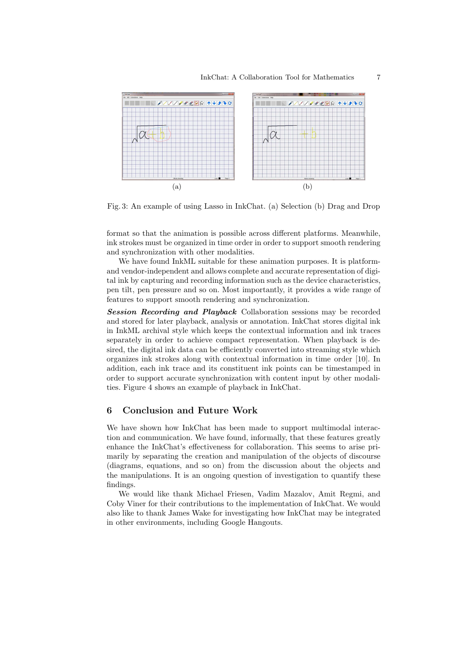

Fig. 3: An example of using Lasso in InkChat. (a) Selection (b) Drag and Drop

format so that the animation is possible across different platforms. Meanwhile, ink strokes must be organized in time order in order to support smooth rendering and synchronization with other modalities.

We have found InkML suitable for these animation purposes. It is platformand vendor-independent and allows complete and accurate representation of digital ink by capturing and recording information such as the device characteristics, pen tilt, pen pressure and so on. Most importantly, it provides a wide range of features to support smooth rendering and synchronization.

Session Recording and Playback Collaboration sessions may be recorded and stored for later playback, analysis or annotation. InkChat stores digital ink in InkML archival style which keeps the contextual information and ink traces separately in order to achieve compact representation. When playback is desired, the digital ink data can be efficiently converted into streaming style which organizes ink strokes along with contextual information in time order [10]. In addition, each ink trace and its constituent ink points can be timestamped in order to support accurate synchronization with content input by other modalities. Figure 4 shows an example of playback in InkChat.

# 6 Conclusion and Future Work

We have shown how InkChat has been made to support multimodal interaction and communication. We have found, informally, that these features greatly enhance the InkChat's effectiveness for collaboration. This seems to arise primarily by separating the creation and manipulation of the objects of discourse (diagrams, equations, and so on) from the discussion about the objects and the manipulations. It is an ongoing question of investigation to quantify these findings.

We would like thank Michael Friesen, Vadim Mazalov, Amit Regmi, and Coby Viner for their contributions to the implementation of InkChat. We would also like to thank James Wake for investigating how InkChat may be integrated in other environments, including Google Hangouts.